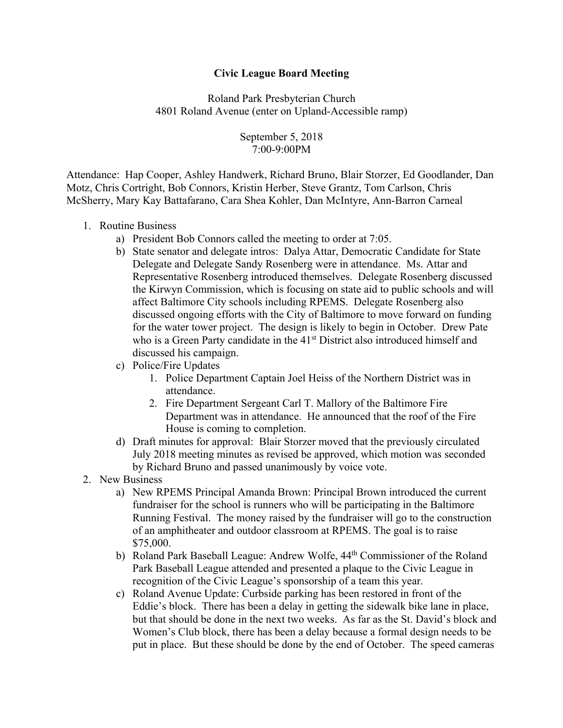## **Civic League Board Meeting**

Roland Park Presbyterian Church 4801 Roland Avenue (enter on Upland-Accessible ramp)

> September 5, 2018 7:00-9:00PM

Attendance: Hap Cooper, Ashley Handwerk, Richard Bruno, Blair Storzer, Ed Goodlander, Dan Motz, Chris Cortright, Bob Connors, Kristin Herber, Steve Grantz, Tom Carlson, Chris McSherry, Mary Kay Battafarano, Cara Shea Kohler, Dan McIntyre, Ann-Barron Carneal

- 1. Routine Business
	- a) President Bob Connors called the meeting to order at 7:05.
	- b) State senator and delegate intros: Dalya Attar, Democratic Candidate for State Delegate and Delegate Sandy Rosenberg were in attendance. Ms. Attar and Representative Rosenberg introduced themselves. Delegate Rosenberg discussed the Kirwyn Commission, which is focusing on state aid to public schools and will affect Baltimore City schools including RPEMS. Delegate Rosenberg also discussed ongoing efforts with the City of Baltimore to move forward on funding for the water tower project. The design is likely to begin in October. Drew Pate who is a Green Party candidate in the 41<sup>st</sup> District also introduced himself and discussed his campaign.
	- c) Police/Fire Updates
		- 1. Police Department Captain Joel Heiss of the Northern District was in attendance.
		- 2. Fire Department Sergeant Carl T. Mallory of the Baltimore Fire Department was in attendance. He announced that the roof of the Fire House is coming to completion.
	- d) Draft minutes for approval: Blair Storzer moved that the previously circulated July 2018 meeting minutes as revised be approved, which motion was seconded by Richard Bruno and passed unanimously by voice vote.
- 2. New Business
	- a) New RPEMS Principal Amanda Brown: Principal Brown introduced the current fundraiser for the school is runners who will be participating in the Baltimore Running Festival. The money raised by the fundraiser will go to the construction of an amphitheater and outdoor classroom at RPEMS. The goal is to raise \$75,000.
	- b) Roland Park Baseball League: Andrew Wolfe, 44<sup>th</sup> Commissioner of the Roland Park Baseball League attended and presented a plaque to the Civic League in recognition of the Civic League's sponsorship of a team this year.
	- c) Roland Avenue Update: Curbside parking has been restored in front of the Eddie's block. There has been a delay in getting the sidewalk bike lane in place, but that should be done in the next two weeks. As far as the St. David's block and Women's Club block, there has been a delay because a formal design needs to be put in place. But these should be done by the end of October. The speed cameras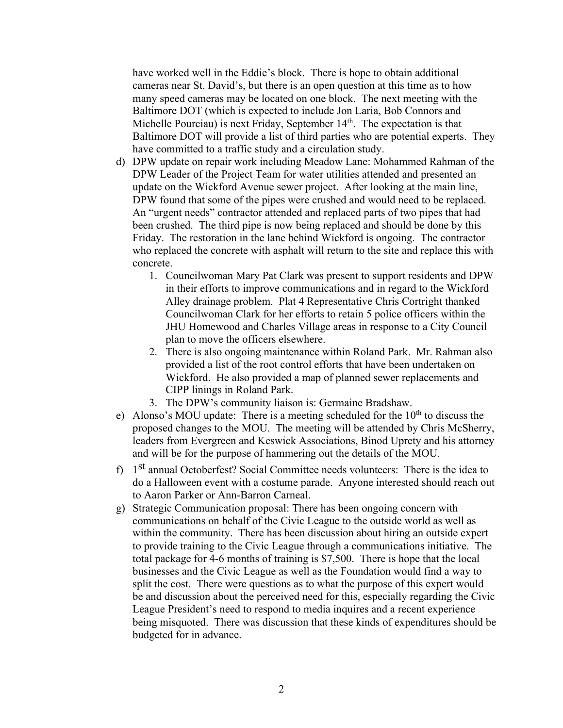have worked well in the Eddie's block. There is hope to obtain additional cameras near St. David's, but there is an open question at this time as to how many speed cameras may be located on one block. The next meeting with the Baltimore DOT (which is expected to include Jon Laria, Bob Connors and Michelle Pourciau) is next Friday, September 14<sup>th</sup>. The expectation is that Baltimore DOT will provide a list of third parties who are potential experts. They have committed to a traffic study and a circulation study.

- d) DPW update on repair work including Meadow Lane: Mohammed Rahman of the DPW Leader of the Project Team for water utilities attended and presented an update on the Wickford Avenue sewer project. After looking at the main line, DPW found that some of the pipes were crushed and would need to be replaced. An "urgent needs" contractor attended and replaced parts of two pipes that had been crushed. The third pipe is now being replaced and should be done by this Friday. The restoration in the lane behind Wickford is ongoing. The contractor who replaced the concrete with asphalt will return to the site and replace this with concrete.
	- 1. Councilwoman Mary Pat Clark was present to support residents and DPW in their efforts to improve communications and in regard to the Wickford Alley drainage problem. Plat 4 Representative Chris Cortright thanked Councilwoman Clark for her efforts to retain 5 police officers within the JHU Homewood and Charles Village areas in response to a City Council plan to move the officers elsewhere.
	- 2. There is also ongoing maintenance within Roland Park. Mr. Rahman also provided a list of the root control efforts that have been undertaken on Wickford. He also provided a map of planned sewer replacements and CIPP linings in Roland Park.
	- 3. The DPW's community liaison is: Germaine Bradshaw.
- e) Alonso's MOU update: There is a meeting scheduled for the  $10<sup>th</sup>$  to discuss the proposed changes to the MOU. The meeting will be attended by Chris McSherry, leaders from Evergreen and Keswick Associations, Binod Uprety and his attorney and will be for the purpose of hammering out the details of the MOU.
- f) 1st annual Octoberfest? Social Committee needs volunteers: There is the idea to do a Halloween event with a costume parade. Anyone interested should reach out to Aaron Parker or Ann-Barron Carneal.
- g) Strategic Communication proposal: There has been ongoing concern with communications on behalf of the Civic League to the outside world as well as within the community. There has been discussion about hiring an outside expert to provide training to the Civic League through a communications initiative. The total package for 4-6 months of training is \$7,500. There is hope that the local businesses and the Civic League as well as the Foundation would find a way to split the cost. There were questions as to what the purpose of this expert would be and discussion about the perceived need for this, especially regarding the Civic League President's need to respond to media inquires and a recent experience being misquoted. There was discussion that these kinds of expenditures should be budgeted for in advance.